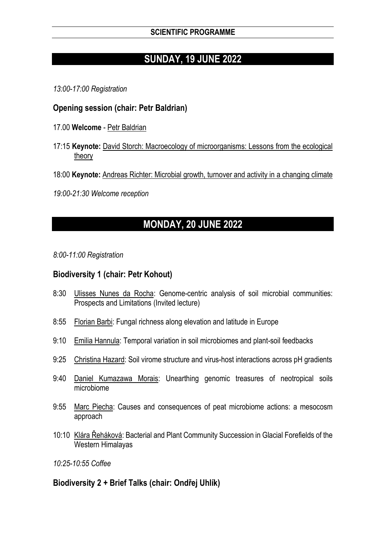# **SUNDAY, 19 JUNE 2022**

*13:00-17:00 Registration*

## **Opening session (chair: Petr Baldrian)**

- 17.00 **Welcome** Petr Baldrian
- 17:15 **Keynote:** David Storch: Macroecology of microorganisms: Lessons from the ecological theory
- 18:00 **Keynote:** Andreas Richter: Microbial growth, turnover and activity in a changing climate

*19:00-21:30 Welcome reception*

# **MONDAY, 20 JUNE 2022**

*8:00-11:00 Registration*

## **Biodiversity 1 (chair: Petr Kohout)**

- 8:30 Ulisses Nunes da Rocha: Genome-centric analysis of soil microbial communities: Prospects and Limitations (Invited lecture)
- 8:55 Florian Barbi: Fungal richness along elevation and latitude in Europe
- 9:10 Emilia Hannula: Temporal variation in soil microbiomes and plant-soil feedbacks
- 9:25 Christina Hazard: Soil virome structure and virus-host interactions across pH gradients
- 9:40 Daniel Kumazawa Morais: Unearthing genomic treasures of neotropical soils microbiome
- 9:55 Marc Piecha: Causes and consequences of peat microbiome actions: a mesocosm approach
- 10:10 Klára Řeháková: Bacterial and Plant Community Succession in Glacial Forefields of the Western Himalayas

*10:25-10:55 Coffee*

# **Biodiversity 2 + Brief Talks (chair: Ondřej Uhlík)**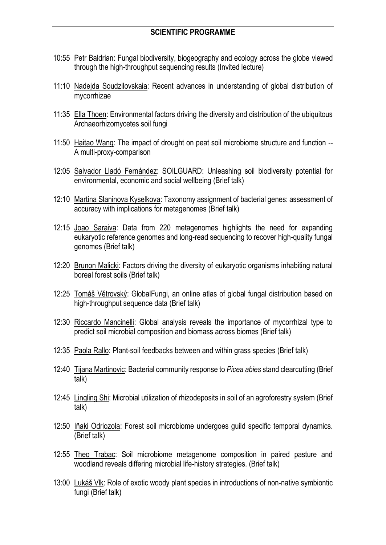- 10:55 Petr Baldrian: Fungal biodiversity, biogeography and ecology across the globe viewed through the high-throughput sequencing results (Invited lecture)
- 11:10 Nadejda Soudzilovskaia: Recent advances in understanding of global distribution of mycorrhizae
- 11:35 Ella Thoen: Environmental factors driving the diversity and distribution of the ubiquitous Archaeorhizomycetes soil fungi
- 11:50 Haitao Wang: The impact of drought on peat soil microbiome structure and function -- A multi-proxy-comparison
- 12:05 Salvador Lladó Fernández: SOILGUARD: Unleashing soil biodiversity potential for environmental, economic and social wellbeing (Brief talk)
- 12:10 Martina Slaninova Kyselkova: Taxonomy assignment of bacterial genes: assessment of accuracy with implications for metagenomes (Brief talk)
- 12:15 Joao Saraiva: Data from 220 metagenomes highlights the need for expanding eukaryotic reference genomes and long-read sequencing to recover high-quality fungal genomes (Brief talk)
- 12:20 Brunon Malicki: Factors driving the diversity of eukaryotic organisms inhabiting natural boreal forest soils (Brief talk)
- 12:25 Tomáš Větrovský: GlobalFungi, an online atlas of global fungal distribution based on high-throughput sequence data (Brief talk)
- 12:30 Riccardo Mancinelli: Global analysis reveals the importance of mycorrhizal type to predict soil microbial composition and biomass across biomes (Brief talk)
- 12:35 Paola Rallo: Plant-soil feedbacks between and within grass species (Brief talk)
- 12:40 Tijana Martinovic: Bacterial community response to *Picea abies* stand clearcutting (Brief talk)
- 12:45 Lingling Shi: Microbial utilization of rhizodeposits in soil of an agroforestry system (Brief talk)
- 12:50 Iñaki Odriozola: Forest soil microbiome undergoes guild specific temporal dynamics. (Brief talk)
- 12:55 Theo Trabac: Soil microbiome metagenome composition in paired pasture and woodland reveals differing microbial life-history strategies. (Brief talk)
- 13:00 Lukáš Vlk: Role of exotic woody plant species in introductions of non-native symbiontic fungi (Brief talk)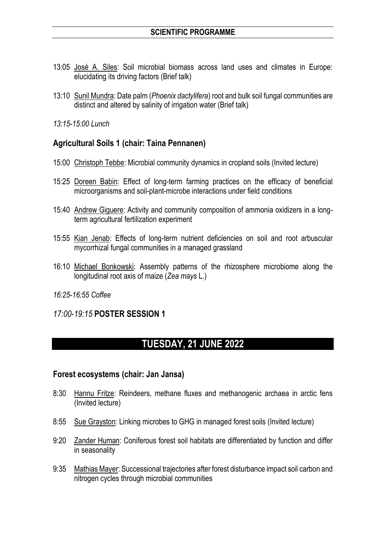- 13:05 José A. Siles: Soil microbial biomass across land uses and climates in Europe: elucidating its driving factors (Brief talk)
- 13:10 Sunil Mundra: Date palm (*Phoenix dactylifera*) root and bulk soil fungal communities are distinct and altered by salinity of irrigation water (Brief talk)
- *13:15-15:00 Lunch*

#### **Agricultural Soils 1 (chair: Taina Pennanen)**

- 15:00 Christoph Tebbe: Microbial community dynamics in cropland soils (Invited lecture)
- 15:25 Doreen Babin: Effect of long-term farming practices on the efficacy of beneficial microorganisms and soil-plant-microbe interactions under field conditions
- 15:40 Andrew Giguere: Activity and community composition of ammonia oxidizers in a longterm agricultural fertilization experiment
- 15:55 Kian Jenab: Effects of long-term nutrient deficiencies on soil and root arbuscular mycorrhizal fungal communities in a managed grassland
- 16:10 Michael Bonkowski: Assembly patterns of the rhizosphere microbiome along the longitudinal root axis of maize (*Zea mays* L.)

#### *16:25-16:55 Coffee*

*17:00-19:15* **POSTER SESSION 1**

# **TUESDAY, 21 JUNE 2022**

#### **Forest ecosystems (chair: Jan Jansa)**

- 8:30 Hannu Fritze: Reindeers, methane fluxes and methanogenic archaea in arctic fens (Invited lecture)
- 8:55 Sue Grayston: Linking microbes to GHG in managed forest soils (Invited lecture)
- 9:20 Zander Human: Coniferous forest soil habitats are differentiated by function and differ in seasonality
- 9:35 Mathias Mayer: Successional trajectories after forest disturbance impact soil carbon and nitrogen cycles through microbial communities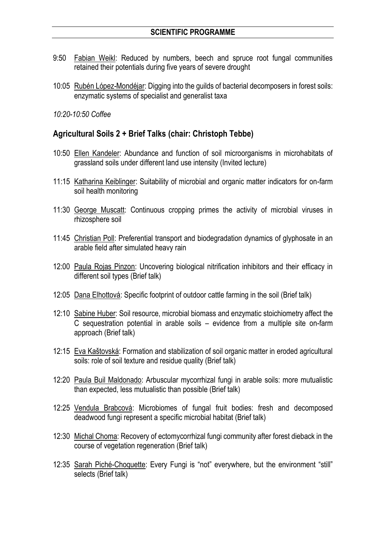- 9:50 Fabian Weikl: Reduced by numbers, beech and spruce root fungal communities retained their potentials during five years of severe drought
- 10:05 Rubén López-Mondéjar: Digging into the guilds of bacterial decomposers in forest soils: enzymatic systems of specialist and generalist taxa

*10:20-10:50 Coffee*

#### **Agricultural Soils 2 + Brief Talks (chair: Christoph Tebbe)**

- 10:50 Ellen Kandeler: Abundance and function of soil microorganisms in microhabitats of grassland soils under different land use intensity (Invited lecture)
- 11:15 Katharina Keiblinger: Suitability of microbial and organic matter indicators for on-farm soil health monitoring
- 11:30 George Muscatt: Continuous cropping primes the activity of microbial viruses in rhizosphere soil
- 11:45 Christian Poll: Preferential transport and biodegradation dynamics of glyphosate in an arable field after simulated heavy rain
- 12:00 Paula Rojas Pinzon: Uncovering biological nitrification inhibitors and their efficacy in different soil types (Brief talk)
- 12:05 Dana Elhottová: Specific footprint of outdoor cattle farming in the soil (Brief talk)
- 12:10 Sabine Huber: Soil resource, microbial biomass and enzymatic stoichiometry affect the C sequestration potential in arable soils – evidence from a multiple site on-farm approach (Brief talk)
- 12:15 Eva Kaštovská: Formation and stabilization of soil organic matter in eroded agricultural soils: role of soil texture and residue quality (Brief talk)
- 12:20 Paula Buil Maldonado: Arbuscular mycorrhizal fungi in arable soils: more mutualistic than expected, less mutualistic than possible (Brief talk)
- 12:25 Vendula Brabcová: Microbiomes of fungal fruit bodies: fresh and decomposed deadwood fungi represent a specific microbial habitat (Brief talk)
- 12:30 Michal Choma: Recovery of ectomycorrhizal fungi community after forest dieback in the course of vegetation regeneration (Brief talk)
- 12:35 Sarah Piché-Choquette: Every Fungi is "not" everywhere, but the environment "still" selects (Brief talk)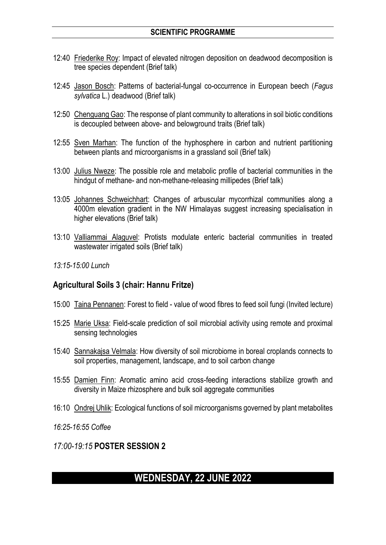- 12:40 Friederike Roy: Impact of elevated nitrogen deposition on deadwood decomposition is tree species dependent (Brief talk)
- 12:45 Jason Bosch: Patterns of bacterial-fungal co-occurrence in European beech (*Fagus sylvatica* L.) deadwood (Brief talk)
- 12:50 Chenguang Gao: The response of plant community to alterations in soil biotic conditions is decoupled between above- and belowground traits (Brief talk)
- 12:55 Sven Marhan: The function of the hyphosphere in carbon and nutrient partitioning between plants and microorganisms in a grassland soil (Brief talk)
- 13:00 Julius Nweze: The possible role and metabolic profile of bacterial communities in the hindgut of methane- and non-methane-releasing millipedes (Brief talk)
- 13:05 Johannes Schweichhart: Changes of arbuscular mycorrhizal communities along a 4000m elevation gradient in the NW Himalayas suggest increasing specialisation in higher elevations (Brief talk)
- 13:10 Valliammai Alaguvel: Protists modulate enteric bacterial communities in treated wastewater irrigated soils (Brief talk)
- *13:15-15:00 Lunch*

#### **Agricultural Soils 3 (chair: Hannu Fritze)**

- 15:00 Taina Pennanen: Forest to field value of wood fibres to feed soil fungi (Invited lecture)
- 15:25 Marie Uksa: Field-scale prediction of soil microbial activity using remote and proximal sensing technologies
- 15:40 Sannakajsa Velmala: How diversity of soil microbiome in boreal croplands connects to soil properties, management, landscape, and to soil carbon change
- 15:55 Damien Finn: Aromatic amino acid cross-feeding interactions stabilize growth and diversity in Maize rhizosphere and bulk soil aggregate communities
- 16:10 Ondrej Uhlik: Ecological functions of soil microorganisms governed by plant metabolites

*16:25-16:55 Coffee*

*17:00-19:15* **POSTER SESSION 2**

# **WEDNESDAY, 22 JUNE 2022**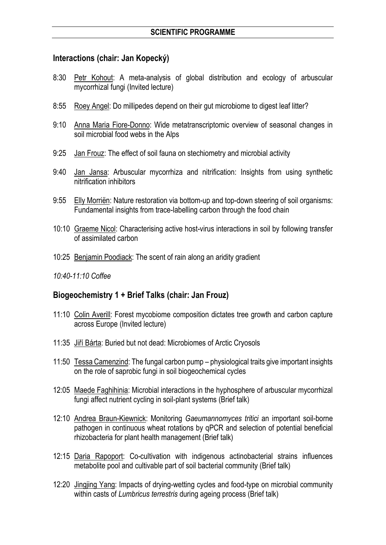#### **Interactions (chair: Jan Kopecký)**

- 8:30 Petr Kohout: A meta-analysis of global distribution and ecology of arbuscular mycorrhizal fungi (Invited lecture)
- 8:55 Roey Angel: Do millipedes depend on their gut microbiome to digest leaf litter?
- 9:10 Anna Maria Fiore-Donno: Wide metatranscriptomic overview of seasonal changes in soil microbial food webs in the Alps
- 9:25 Jan Frouz: The effect of soil fauna on stechiometry and microbial activity
- 9:40 Jan Jansa: Arbuscular mycorrhiza and nitrification: Insights from using synthetic nitrification inhibitors
- 9:55 Elly Morriën: Nature restoration via bottom-up and top-down steering of soil organisms: Fundamental insights from trace-labelling carbon through the food chain
- 10:10 Graeme Nicol: Characterising active host-virus interactions in soil by following transfer of assimilated carbon
- 10:25 Benjamin Poodiack: The scent of rain along an aridity gradient
- *10:40-11:10 Coffee*

#### **Biogeochemistry 1 + Brief Talks (chair: Jan Frouz)**

- 11:10 Colin Averill: Forest mycobiome composition dictates tree growth and carbon capture across Europe (Invited lecture)
- 11:35 Jiří Bárta: Buried but not dead: Microbiomes of Arctic Cryosols
- 11:50 Tessa Camenzind: The fungal carbon pump physiological traits give important insights on the role of saprobic fungi in soil biogeochemical cycles
- 12:05 Maede Faghihinia: Microbial interactions in the hyphosphere of arbuscular mycorrhizal fungi affect nutrient cycling in soil-plant systems (Brief talk)
- 12:10 Andrea Braun-Kiewnick: Monitoring *Gaeumannomyces tritici* an important soil-borne pathogen in continuous wheat rotations by qPCR and selection of potential beneficial rhizobacteria for plant health management (Brief talk)
- 12:15 Daria Rapoport: Co-cultivation with indigenous actinobacterial strains influences metabolite pool and cultivable part of soil bacterial community (Brief talk)
- 12:20 Jingjing Yang: Impacts of drying-wetting cycles and food-type on microbial community within casts of *Lumbricus terrestris* during ageing process (Brief talk)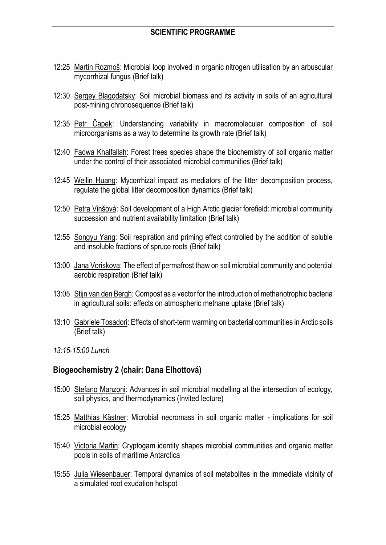- 12:25 Martin Rozmoš: Microbial loop involved in organic nitrogen utilisation by an arbuscular mycorrhizal fungus (Brief talk)
- 12:30 Sergey Blagodatsky: Soil microbial biomass and its activity in soils of an agricultural post-mining chronosequence (Brief talk)
- 12:35 Petr Čapek: Understanding variability in macromolecular composition of soil microorganisms as a way to determine its growth rate (Brief talk)
- 12:40 Fadwa Khalfallah: Forest trees species shape the biochemistry of soil organic matter under the control of their associated microbial communities (Brief talk)
- 12:45 Weilin Huang: Mycorrhizal impact as mediators of the litter decomposition process, regulate the global litter decomposition dynamics (Brief talk)
- 12:50 Petra Vinšová: Soil development of a High Arctic glacier forefield: microbial community succession and nutrient availability limitation (Brief talk)
- 12:55 Songyu Yang: Soil respiration and priming effect controlled by the addition of soluble and insoluble fractions of spruce roots (Brief talk)
- 13:00 Jana Voriskova: The effect of permafrost thaw on soil microbial community and potential aerobic respiration (Brief talk)
- 13:05 Stijn van den Bergh: Compost as a vector for the introduction of methanotrophic bacteria in agricultural soils: effects on atmospheric methane uptake (Brief talk)
- 13:10 Gabriele Tosadori: Effects of short-term warming on bacterial communities in Arctic soils (Brief talk)
- *13:15-15:00 Lunch*

#### **Biogeochemistry 2 (chair: Dana Elhottová)**

- 15:00 Stefano Manzoni: Advances in soil microbial modelling at the intersection of ecology, soil physics, and thermodynamics (Invited lecture)
- 15:25 Matthias Kästner: Microbial necromass in soil organic matter implications for soil microbial ecology
- 15:40 Victoria Martin: Cryptogam identity shapes microbial communities and organic matter pools in soils of maritime Antarctica
- 15:55 Julia Wiesenbauer: Temporal dynamics of soil metabolites in the immediate vicinity of a simulated root exudation hotspot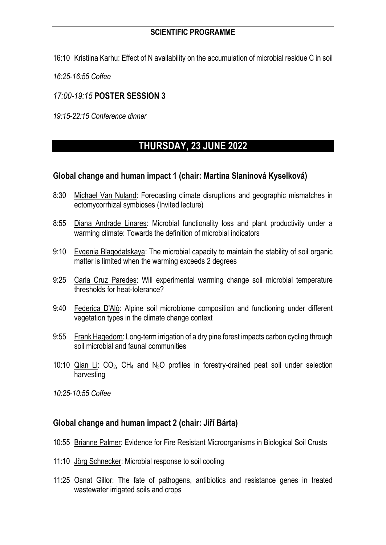- 16:10 Kristiina Karhu: Effect of N availability on the accumulation of microbial residue C in soil
- *16:25-16:55 Coffee*

## *17:00-19:15* **POSTER SESSION 3**

*19:15-22:15 Conference dinner*

# **THURSDAY, 23 JUNE 2022**

#### **Global change and human impact 1 (chair: Martina Slaninová Kyselková)**

- 8:30 Michael Van Nuland: Forecasting climate disruptions and geographic mismatches in ectomycorrhizal symbioses (Invited lecture)
- 8:55 Diana Andrade Linares: Microbial functionality loss and plant productivity under a warming climate: Towards the definition of microbial indicators
- 9:10 Evgenia Blagodatskaya: The microbial capacity to maintain the stability of soil organic matter is limited when the warming exceeds 2 degrees
- 9:25 Carla Cruz Paredes: Will experimental warming change soil microbial temperature thresholds for heat-tolerance?
- 9:40 Federica D'Alò: Alpine soil microbiome composition and functioning under different vegetation types in the climate change context
- 9:55 Frank Hagedorn: Long-term irrigation of a dry pine forest impacts carbon cycling through soil microbial and faunal communities
- 10:10 Qian Li:  $CO<sub>2</sub>$ , CH<sub>4</sub> and N<sub>2</sub>O profiles in forestry-drained peat soil under selection harvesting
- *10:25-10:55 Coffee*

# **Global change and human impact 2 (chair: Jiří Bárta)**

- 10:55 Brianne Palmer: Evidence for Fire Resistant Microorganisms in Biological Soil Crusts
- 11:10 Jörg Schnecker: Microbial response to soil cooling
- 11:25 Osnat Gillor: The fate of pathogens, antibiotics and resistance genes in treated wastewater irrigated soils and crops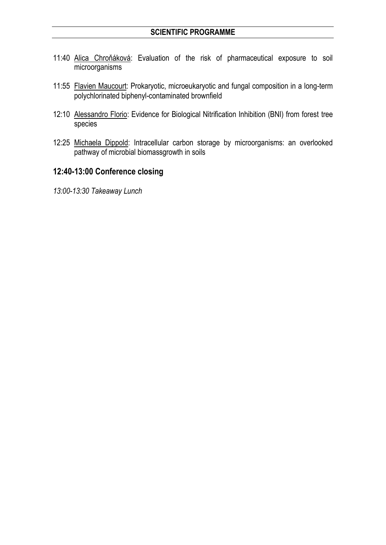- 11:40 Alica Chroňáková: Evaluation of the risk of pharmaceutical exposure to soil microorganisms
- 11:55 Flavien Maucourt: Prokaryotic, microeukaryotic and fungal composition in a long-term polychlorinated biphenyl-contaminated brownfield
- 12:10 Alessandro Florio: Evidence for Biological Nitrification Inhibition (BNI) from forest tree species
- 12:25 Michaela Dippold: Intracellular carbon storage by microorganisms: an overlooked pathway of microbial biomassgrowth in soils

### **12:40-13:00 Conference closing**

*13:00-13:30 Takeaway Lunch*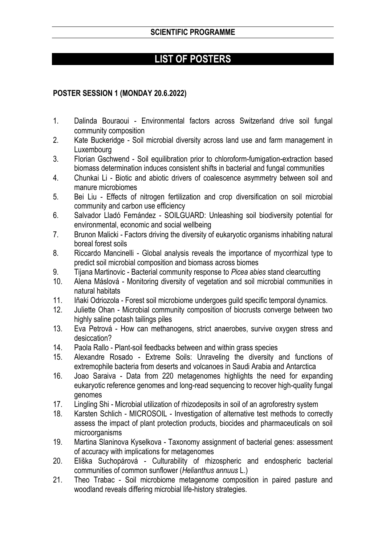# **LIST OF POSTERS**

## **POSTER SESSION 1 (MONDAY 20.6.2022)**

- 1. Dalinda Bouraoui Environmental factors across Switzerland drive soil fungal community composition
- 2. Kate Buckeridge Soil microbial diversity across land use and farm management in Luxembourg
- 3. Florian Gschwend Soil equilibration prior to chloroform-fumigation-extraction based biomass determination induces consistent shifts in bacterial and fungal communities
- 4. Chunkai Li Biotic and abiotic drivers of coalescence asymmetry between soil and manure microbiomes
- 5. Bei Liu Effects of nitrogen fertilization and crop diversification on soil microbial community and carbon use efficiency
- 6. Salvador Lladó Fernández SOILGUARD: Unleashing soil biodiversity potential for environmental, economic and social wellbeing
- 7. Brunon Malicki Factors driving the diversity of eukaryotic organisms inhabiting natural boreal forest soils
- 8. Riccardo Mancinelli Global analysis reveals the importance of mycorrhizal type to predict soil microbial composition and biomass across biomes
- 9. Tijana Martinovic Bacterial community response to *Picea abies* stand clearcutting
- 10. Alena Máslová Monitoring diversity of vegetation and soil microbial communities in natural habitats
- 11. Iñaki Odriozola Forest soil microbiome undergoes guild specific temporal dynamics.
- 12. Juliette Ohan Microbial community composition of biocrusts converge between two highly saline potash tailings piles
- 13. Eva Petrová How can methanogens, strict anaerobes, survive oxygen stress and desiccation?
- 14. Paola Rallo Plant-soil feedbacks between and within grass species
- 15. Alexandre Rosado Extreme Soils: Unraveling the diversity and functions of extremophile bacteria from deserts and volcanoes in Saudi Arabia and Antarctica
- 16. Joao Saraiva Data from 220 metagenomes highlights the need for expanding eukaryotic reference genomes and long-read sequencing to recover high-quality fungal genomes
- 17. Lingling Shi Microbial utilization of rhizodeposits in soil of an agroforestry system
- 18. Karsten Schlich MICROSOIL Investigation of alternative test methods to correctly assess the impact of plant protection products, biocides and pharmaceuticals on soil microorganisms
- 19. Martina Slaninova Kyselkova Taxonomy assignment of bacterial genes: assessment of accuracy with implications for metagenomes
- 20. Eliška Suchopárová Culturability of rhizospheric and endospheric bacterial communities of common sunflower (*Helianthus annuus* L.)
- 21. Theo Trabac Soil microbiome metagenome composition in paired pasture and woodland reveals differing microbial life-history strategies.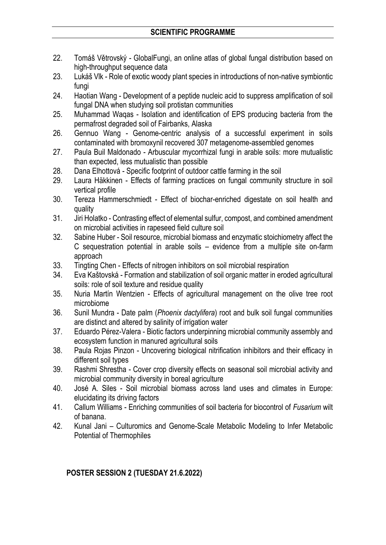- 22. Tomáš Větrovský GlobalFungi, an online atlas of global fungal distribution based on high-throughput sequence data
- 23. Lukáš Vlk Role of exotic woody plant species in introductions of non-native symbiontic fungi
- 24. Haotian Wang Development of a peptide nucleic acid to suppress amplification of soil fungal DNA when studying soil protistan communities
- 25. Muhammad Waqas Isolation and identification of EPS producing bacteria from the permafrost degraded soil of Fairbanks, Alaska
- 26. Gennuo Wang Genome-centric analysis of a successful experiment in soils contaminated with bromoxynil recovered 307 metagenome-assembled genomes
- 27. Paula Buil Maldonado Arbuscular mycorrhizal fungi in arable soils: more mutualistic than expected, less mutualistic than possible
- 28. Dana Elhottová Specific footprint of outdoor cattle farming in the soil
- 29. Laura Häkkinen Effects of farming practices on fungal community structure in soil vertical profile
- 30. Tereza Hammerschmiedt Effect of biochar-enriched digestate on soil health and quality
- 31. Jiri Holatko Contrasting effect of elemental sulfur, compost, and combined amendment on microbial activities in rapeseed field culture soil
- 32. Sabine Huber Soil resource, microbial biomass and enzymatic stoichiometry affect the C sequestration potential in arable soils – evidence from a multiple site on-farm approach
- 33. Tingting Chen Effects of nitrogen inhibitors on soil microbial respiration
- 34. Eva Kaštovská Formation and stabilization of soil organic matter in eroded agricultural soils: role of soil texture and residue quality
- 35. Nuria Martín Wentzien Effects of agricultural management on the olive tree root microbiome
- 36. Sunil Mundra Date palm (*Phoenix dactylifera*) root and bulk soil fungal communities are distinct and altered by salinity of irrigation water
- 37. Eduardo Pérez-Valera Biotic factors underpinning microbial community assembly and ecosystem function in manured agricultural soils
- 38. Paula Rojas Pinzon Uncovering biological nitrification inhibitors and their efficacy in different soil types
- 39. Rashmi Shrestha Cover crop diversity effects on seasonal soil microbial activity and microbial community diversity in boreal agriculture
- 40. José A. Siles Soil microbial biomass across land uses and climates in Europe: elucidating its driving factors
- 41. Callum Williams Enriching communities of soil bacteria for biocontrol of *Fusarium* wilt of banana.
- 42. Kunal Jani Culturomics and Genome-Scale Metabolic Modeling to Infer Metabolic Potential of Thermophiles

# **POSTER SESSION 2 (TUESDAY 21.6.2022)**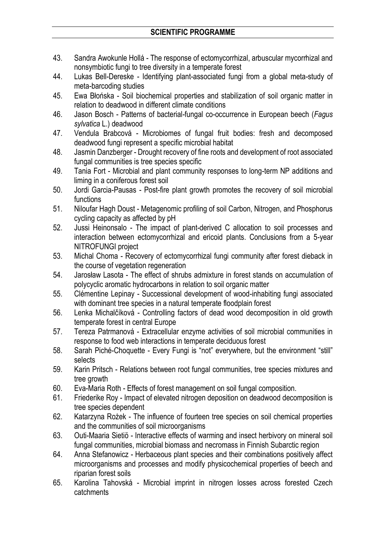- 43. Sandra Awokunle Hollá The response of ectomycorrhizal, arbuscular mycorrhizal and nonsymbiotic fungi to tree diversity in a temperate forest
- 44. Lukas Bell-Dereske Identifying plant-associated fungi from a global meta-study of meta-barcoding studies
- 45. Ewa Błońska Soil biochemical properties and stabilization of soil organic matter in relation to deadwood in different climate conditions
- 46. Jason Bosch Patterns of bacterial-fungal co-occurrence in European beech (*Fagus sylvatica* L.) deadwood
- 47. Vendula Brabcová Microbiomes of fungal fruit bodies: fresh and decomposed deadwood fungi represent a specific microbial habitat
- 48. Jasmin Danzberger Drought recovery of fine roots and development of root associated fungal communities is tree species specific
- 49. Tania Fort Microbial and plant community responses to long-term NP additions and liming in a coniferous forest soil
- 50. Jordi Garcia-Pausas Post-fire plant growth promotes the recovery of soil microbial functions
- 51. Niloufar Hagh Doust Metagenomic profiling of soil Carbon, Nitrogen, and Phosphorus cycling capacity as affected by pH
- 52. Jussi Heinonsalo The impact of plant-derived C allocation to soil processes and interaction between ectomycorrhizal and ericoid plants. Conclusions from a 5-year NITROFUNGI project
- 53. Michal Choma Recovery of ectomycorrhizal fungi community after forest dieback in the course of vegetation regeneration
- 54. Jarosław Lasota The effect of shrubs admixture in forest stands on accumulation of polycyclic aromatic hydrocarbons in relation to soil organic matter
- 55. Clémentine Lepinay Successional development of wood-inhabiting fungi associated with dominant tree species in a natural temperate floodplain forest
- 56. Lenka Michalčíková Controlling factors of dead wood decomposition in old growth temperate forest in central Europe
- 57. Tereza Patrmanová Extracellular enzyme activities of soil microbial communities in response to food web interactions in temperate deciduous forest
- 58. Sarah Piché-Choquette Every Fungi is "not" everywhere, but the environment "still" selects
- 59. Karin Pritsch Relations between root fungal communities, tree species mixtures and tree growth
- 60. Eva-Maria Roth Effects of forest management on soil fungal composition.
- 61. Friederike Roy Impact of elevated nitrogen deposition on deadwood decomposition is tree species dependent
- 62. Katarzyna Rożek The influence of fourteen tree species on soil chemical properties and the communities of soil microorganisms
- 63. Outi-Maaria Sietiö Interactive effects of warming and insect herbivory on mineral soil fungal communities, microbial biomass and necromass in Finnish Subarctic region
- 64. Anna Stefanowicz Herbaceous plant species and their combinations positively affect microorganisms and processes and modify physicochemical properties of beech and riparian forest soils
- 65. Karolina Tahovská Microbial imprint in nitrogen losses across forested Czech catchments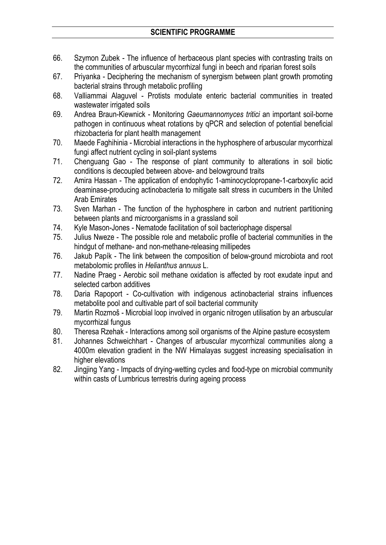- 66. Szymon Zubek The influence of herbaceous plant species with contrasting traits on the communities of arbuscular mycorrhizal fungi in beech and riparian forest soils
- 67. Priyanka Deciphering the mechanism of synergism between plant growth promoting bacterial strains through metabolic profiling
- 68. Valliammai Alaguvel Protists modulate enteric bacterial communities in treated wastewater irrigated soils
- 69. Andrea Braun-Kiewnick Monitoring *Gaeumannomyces tritici* an important soil-borne pathogen in continuous wheat rotations by qPCR and selection of potential beneficial rhizobacteria for plant health management
- 70. Maede Faghihinia Microbial interactions in the hyphosphere of arbuscular mycorrhizal fungi affect nutrient cycling in soil-plant systems
- 71. Chenguang Gao The response of plant community to alterations in soil biotic conditions is decoupled between above- and belowground traits
- 72. Amira Hassan The application of endophytic 1-aminocyclopropane-1-carboxylic acid deaminase-producing actinobacteria to mitigate salt stress in cucumbers in the United Arab Emirates
- 73. Sven Marhan The function of the hyphosphere in carbon and nutrient partitioning between plants and microorganisms in a grassland soil
- 74. Kyle Mason-Jones Nematode facilitation of soil bacteriophage dispersal
- 75. Julius Nweze The possible role and metabolic profile of bacterial communities in the hindgut of methane- and non-methane-releasing millipedes
- 76. Jakub Papík The link between the composition of below-ground microbiota and root metabolomic profiles in *Helianthus annuus* L.
- 77. Nadine Praeg Aerobic soil methane oxidation is affected by root exudate input and selected carbon additives
- 78. Daria Rapoport Co-cultivation with indigenous actinobacterial strains influences metabolite pool and cultivable part of soil bacterial community
- 79. Martin Rozmoš Microbial loop involved in organic nitrogen utilisation by an arbuscular mycorrhizal fungus
- 80. Theresa Rzehak Interactions among soil organisms of the Alpine pasture ecosystem
- 81. Johannes Schweichhart Changes of arbuscular mycorrhizal communities along a 4000m elevation gradient in the NW Himalayas suggest increasing specialisation in higher elevations
- 82. Jingjing Yang Impacts of drying-wetting cycles and food-type on microbial community within casts of Lumbricus terrestris during ageing process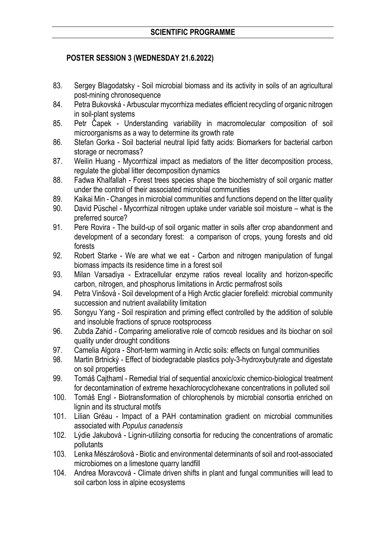# **POSTER SESSION 3 (WEDNESDAY 21.6.2022)**

- 83. Sergey Blagodatsky Soil microbial biomass and its activity in soils of an agricultural post-mining chronosequence
- 84. Petra Bukovská Arbuscular mycorrhiza mediates efficient recycling of organic nitrogen in soil-plant systems
- 85. Petr Čapek Understanding variability in macromolecular composition of soil microorganisms as a way to determine its growth rate
- 86. Stefan Gorka Soil bacterial neutral lipid fatty acids: Biomarkers for bacterial carbon storage or necromass?
- 87. Weilin Huang Mycorrhizal impact as mediators of the litter decomposition process, regulate the global litter decomposition dynamics
- 88. Fadwa Khalfallah Forest trees species shape the biochemistry of soil organic matter under the control of their associated microbial communities
- 89. Kaikai Min Changes in microbial communities and functions depend on the litter quality
- 90. David Püschel Mycorrhizal nitrogen uptake under variable soil moisture what is the preferred source?
- 91. Pere Rovira The build-up of soil organic matter in soils after crop abandonment and development of a secondary forest: a comparison of crops, young forests and old forests
- 92. Robert Starke We are what we eat Carbon and nitrogen manipulation of fungal biomass impacts its residence time in a forest soil
- 93. Milan Varsadiya Extracellular enzyme ratios reveal locality and horizon-specific carbon, nitrogen, and phosphorus limitations in Arctic permafrost soils
- 94. Petra Vinšová Soil development of a High Arctic glacier forefield: microbial community succession and nutrient availability limitation
- 95. Songyu Yang Soil respiration and priming effect controlled by the addition of soluble and insoluble fractions of spruce rootsprocess
- 96. Zubda Zahid Comparing ameliorative role of corncob residues and its biochar on soil quality under drought conditions
- 97. Camelia Algora Short-term warming in Arctic soils: effects on fungal communities
- 98. Martin Brtnický Effect of biodegradable plastics poly-3-hydroxybutyrate and digestate on soil properties
- 99. Tomáš Cajthaml Remedial trial of sequential anoxic/oxic chemico-biological treatment for decontamination of extreme hexachlorocyclohexane concentrations in polluted soil
- 100. Tomáš Engl Biotransformation of chlorophenols by microbial consortia enriched on lignin and its structural motifs
- 101. Lilian Gréau Impact of a PAH contamination gradient on microbial communities associated with *Populus canadensis*
- 102. Lýdie Jakubová Lignin-utilizing consortia for reducing the concentrations of aromatic pollutants
- 103. Lenka Mészárošová Biotic and environmental determinants of soil and root-associated microbiomes on a limestone quarry landfill
- 104. Andrea Moravcová Climate driven shifts in plant and fungal communities will lead to soil carbon loss in alpine ecosystems